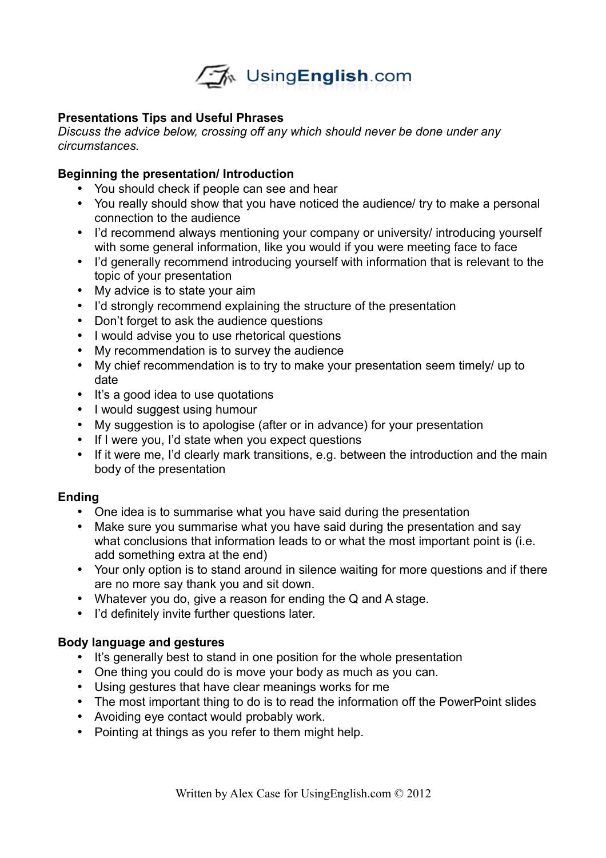

# **Presentations Tips and Useful Phrases**

*Discuss the advice below, crossing off any which should never be done under any circumstances.*

## **Beginning the presentation/ Introduction**

- You should check if people can see and hear
- You really should show that you have noticed the audience/ try to make a personal connection to the audience
- I'd recommend always mentioning your company or university/ introducing yourself with some general information, like you would if you were meeting face to face
- I'd generally recommend introducing yourself with information that is relevant to the topic of your presentation
- My advice is to state your aim
- I'd strongly recommend explaining the structure of the presentation
- Don't forget to ask the audience questions
- I would advise you to use rhetorical questions
- My recommendation is to survey the audience
- My chief recommendation is to try to make your presentation seem timely/ up to date
- It's a good idea to use quotations
- I would suggest using humour
- My suggestion is to apologise (after or in advance) for your presentation
- If I were you, I'd state when you expect questions
- If it were me, I'd clearly mark transitions, e.g. between the introduction and the main body of the presentation

## **Ending**

- One idea is to summarise what you have said during the presentation
- Make sure you summarise what you have said during the presentation and say what conclusions that information leads to or what the most important point is (i.e. add something extra at the end)
- Your only option is to stand around in silence waiting for more questions and if there are no more say thank you and sit down.
- Whatever you do, give a reason for ending the Q and A stage.
- I'd definitely invite further questions later.

## **Body language and gestures**

- It's generally best to stand in one position for the whole presentation
- One thing you could do is move your body as much as you can.
- Using gestures that have clear meanings works for me
- The most important thing to do is to read the information off the PowerPoint slides
- Avoiding eye contact would probably work.
- Pointing at things as you refer to them might help.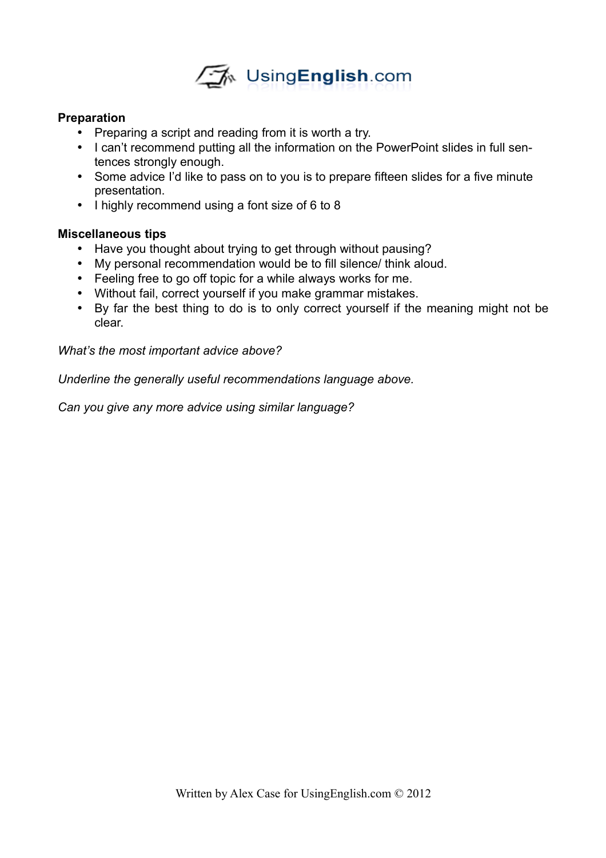

## **Preparation**

- Preparing a script and reading from it is worth a try.
- I can't recommend putting all the information on the PowerPoint slides in full sentences strongly enough.
- Some advice I'd like to pass on to you is to prepare fifteen slides for a five minute presentation.
- I highly recommend using a font size of 6 to 8

## **Miscellaneous tips**

- Have you thought about trying to get through without pausing?
- My personal recommendation would be to fill silence/ think aloud.
- Feeling free to go off topic for a while always works for me.
- Without fail, correct yourself if you make grammar mistakes.
- By far the best thing to do is to only correct yourself if the meaning might not be clear.

## *What's the most important advice above?*

*Underline the generally useful recommendations language above.*

*Can you give any more advice using similar language?*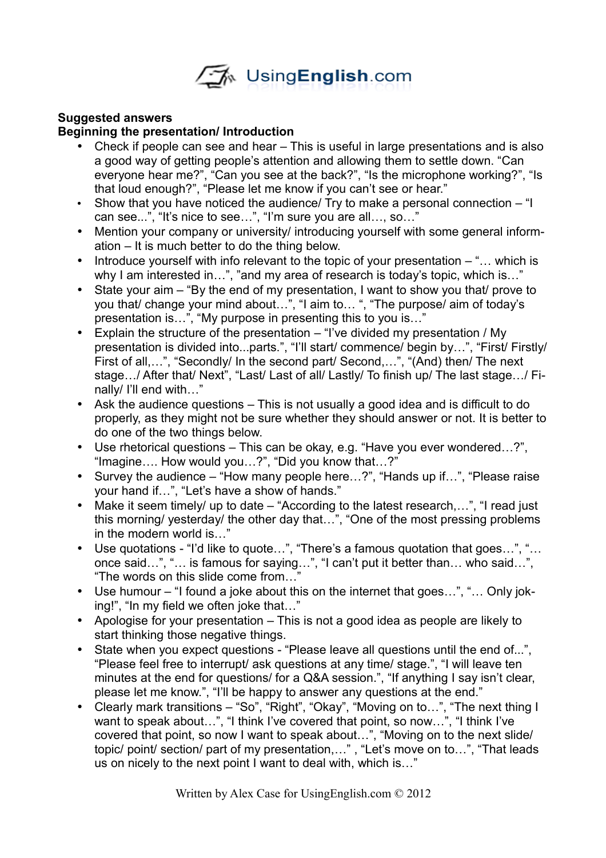

## **Suggested answers**

## **Beginning the presentation/ Introduction**

- Check if people can see and hear This is useful in large presentations and is also a good way of getting people's attention and allowing them to settle down. "Can everyone hear me?", "Can you see at the back?", "Is the microphone working?", "Is that loud enough?", "Please let me know if you can't see or hear."
- Show that you have noticed the audience/ Try to make a personal connection "I can see...", "It's nice to see…", "I'm sure you are all…, so…"
- Mention your company or university/ introducing yourself with some general information – It is much better to do the thing below.
- Introduce yourself with info relevant to the topic of your presentation  $-$  "... which is why I am interested in...", "and my area of research is today's topic, which is..."
- State your aim "By the end of my presentation, I want to show you that/ prove to you that/ change your mind about…", "I aim to… ", "The purpose/ aim of today's presentation is…", "My purpose in presenting this to you is…"
- Explain the structure of the presentation  $-$  "I've divided my presentation / My presentation is divided into...parts.", "I'll start/ commence/ begin by…", "First/ Firstly/ First of all,…", "Secondly/ In the second part/ Second,…", "(And) then/ The next stage…/ After that/ Next", "Last/ Last of all/ Lastly/ To finish up/ The last stage…/ Finally/ I'll end with…"
- Ask the audience questions This is not usually a good idea and is difficult to do properly, as they might not be sure whether they should answer or not. It is better to do one of the two things below.
- Use rhetorical questions This can be okay, e.g. "Have you ever wondered…?", "Imagine…. How would you…?", "Did you know that…?"
- Survey the audience "How many people here…?", "Hands up if…", "Please raise your hand if…", "Let's have a show of hands."
- Make it seem timely/ up to date "According to the latest research,...", "I read just this morning/ yesterday/ the other day that…", "One of the most pressing problems in the modern world is…"
- Use quotations "I'd like to quote…", "There's a famous quotation that goes…", "… once said…", "… is famous for saying…", "I can't put it better than… who said…", "The words on this slide come from…"
- Use humour "I found a joke about this on the internet that goes...", "... Only joking!", "In my field we often joke that…"
- Apologise for your presentation This is not a good idea as people are likely to start thinking those negative things.
- State when you expect questions "Please leave all questions until the end of...", "Please feel free to interrupt/ ask questions at any time/ stage.", "I will leave ten minutes at the end for questions/ for a Q&A session.", "If anything I say isn't clear, please let me know.", "I'll be happy to answer any questions at the end."
- Clearly mark transitions "So", "Right", "Okay", "Moving on to…", "The next thing I want to speak about...", "I think I've covered that point, so now...", "I think I've covered that point, so now I want to speak about…", "Moving on to the next slide/ topic/ point/ section/ part of my presentation,…" , "Let's move on to…", "That leads us on nicely to the next point I want to deal with, which is…"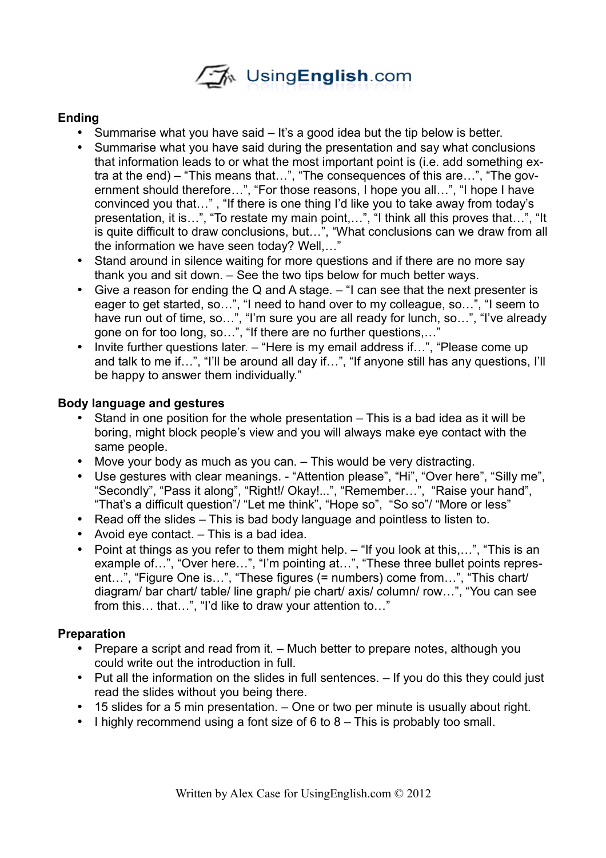

# **Ending**

- Summarise what you have said It's a good idea but the tip below is better.
- Summarise what you have said during the presentation and say what conclusions that information leads to or what the most important point is (i.e. add something extra at the end) – "This means that…", "The consequences of this are…", "The government should therefore…", "For those reasons, I hope you all…", "I hope I have convinced you that…" , "If there is one thing I'd like you to take away from today's presentation, it is…", "To restate my main point,…", "I think all this proves that…", "It is quite difficult to draw conclusions, but…", "What conclusions can we draw from all the information we have seen today? Well,…"
- Stand around in silence waiting for more questions and if there are no more say thank you and sit down. – See the two tips below for much better ways.
- Give a reason for ending the Q and A stage. "I can see that the next presenter is eager to get started, so…", "I need to hand over to my colleague, so…", "I seem to have run out of time, so…", "I'm sure you are all ready for lunch, so…", "I've already gone on for too long, so…", "If there are no further questions,..."
- Invite further questions later. "Here is my email address if...", "Please come up and talk to me if…", "I'll be around all day if…", "If anyone still has any questions, I'll be happy to answer them individually."

## **Body language and gestures**

- Stand in one position for the whole presentation This is a bad idea as it will be boring, might block people's view and you will always make eye contact with the same people.
- Move your body as much as you can. This would be very distracting.
- Use gestures with clear meanings. "Attention please", "Hi", "Over here", "Silly me", "Secondly", "Pass it along", "Right!/ Okay!...", "Remember…", "Raise your hand", "That's a difficult question"/ "Let me think", "Hope so", "So so"/ "More or less"
- Read off the slides This is bad body language and pointless to listen to.
- Avoid eye contact. This is a bad idea.
- Point at things as you refer to them might help. "If you look at this,…", "This is an example of…", "Over here…", "I'm pointing at…", "These three bullet points represent…", "Figure One is…", "These figures (= numbers) come from…", "This chart/ diagram/ bar chart/ table/ line graph/ pie chart/ axis/ column/ row…", "You can see from this… that…", "I'd like to draw your attention to…"

# **Preparation**

- Prepare a script and read from it. Much better to prepare notes, although you could write out the introduction in full.
- Put all the information on the slides in full sentences.  $-$  If you do this they could just read the slides without you being there.
- 15 slides for a 5 min presentation. One or two per minute is usually about right.
- I highly recommend using a font size of 6 to 8 This is probably too small.